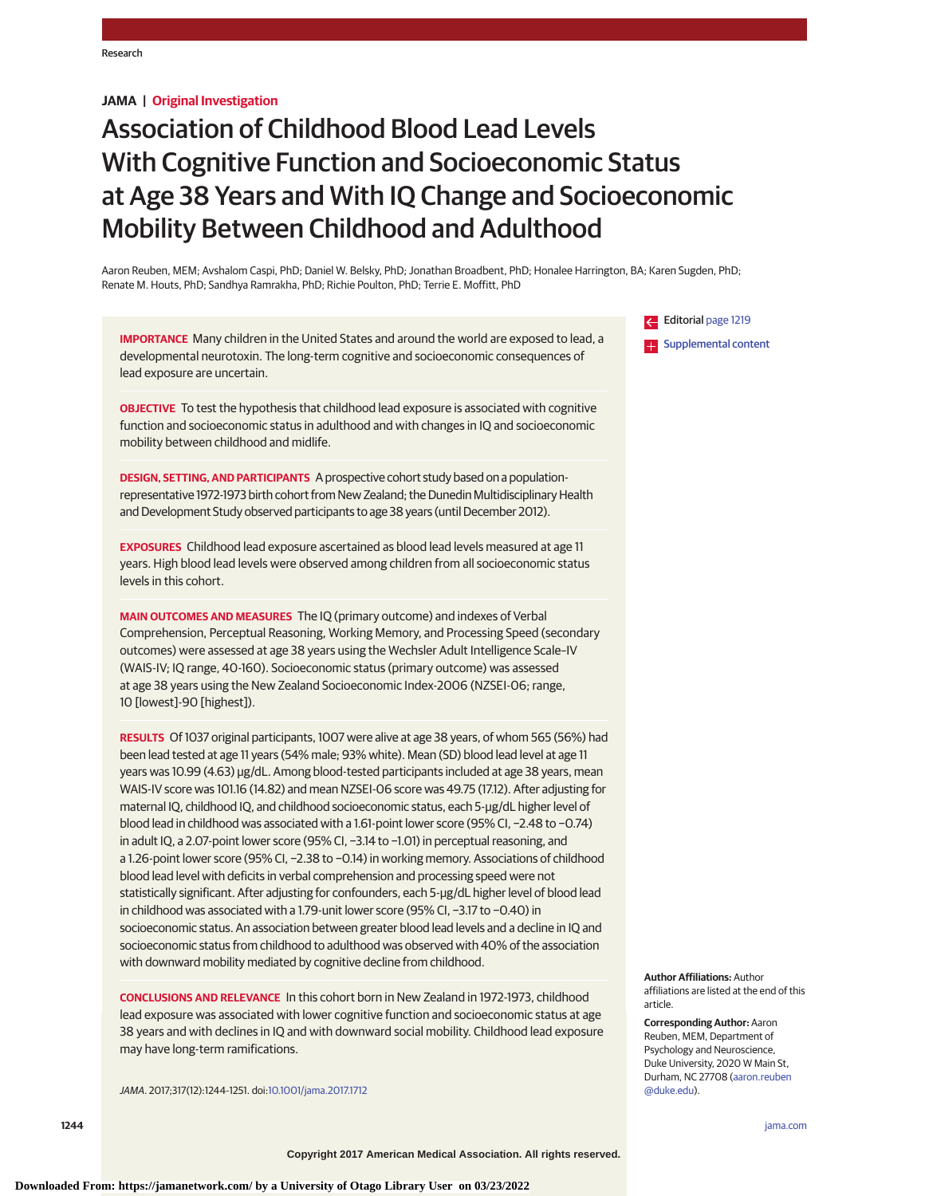# **JAMA | Original Investigation**

# Association of Childhood Blood Lead Levels With Cognitive Function and Socioeconomic Status at Age 38 Years and With IQ Change and Socioeconomic Mobility Between Childhood and Adulthood

Aaron Reuben, MEM; Avshalom Caspi, PhD; Daniel W. Belsky, PhD; Jonathan Broadbent, PhD; Honalee Harrington, BA; Karen Sugden, PhD; Renate M. Houts, PhD; Sandhya Ramrakha, PhD; Richie Poulton, PhD; Terrie E. Moffitt, PhD

**IMPORTANCE** Many children in the United States and around the world are exposed to lead, a developmental neurotoxin. The long-term cognitive and socioeconomic consequences of lead exposure are uncertain.

**OBJECTIVE** To test the hypothesis that childhood lead exposure is associated with cognitive function and socioeconomic status in adulthood and with changes in IQ and socioeconomic mobility between childhood and midlife.

**DESIGN, SETTING, AND PARTICIPANTS** A prospective cohort study based on a populationrepresentative 1972-1973 birth cohort from New Zealand; the Dunedin Multidisciplinary Health and Development Study observed participants to age 38 years (until December 2012).

**EXPOSURES** Childhood lead exposure ascertained as blood lead levels measured at age 11 years. High blood lead levels were observed among children from all socioeconomic status levels in this cohort.

**MAIN OUTCOMES AND MEASURES** The IQ (primary outcome) and indexes of Verbal Comprehension, Perceptual Reasoning, Working Memory, and Processing Speed (secondary outcomes) were assessed at age 38 years using the Wechsler Adult Intelligence Scale–IV (WAIS-IV; IQ range, 40-160). Socioeconomic status (primary outcome) was assessed at age 38 years using the New Zealand Socioeconomic Index-2006 (NZSEI-06; range, 10 [lowest]-90 [highest]).

**RESULTS** Of 1037 original participants, 1007 were alive at age 38 years, of whom 565 (56%) had been lead tested at age 11 years (54% male; 93% white). Mean (SD) blood lead level at age 11 years was 10.99 (4.63) μg/dL. Among blood-tested participants included at age 38 years, mean WAIS-IV score was 101.16 (14.82) and mean NZSEI-06 score was 49.75 (17.12). After adjusting for maternal IQ, childhood IQ, and childhood socioeconomic status, each 5-μg/dL higher level of blood lead in childhood was associated with a 1.61-point lower score (95% CI, −2.48 to −0.74) in adult IQ, a 2.07-point lower score (95% CI, −3.14 to −1.01) in perceptual reasoning, and a 1.26-point lower score (95% CI, −2.38 to −0.14) in working memory. Associations of childhood blood lead level with deficits in verbal comprehension and processing speed were not statistically significant. After adjusting for confounders, each 5-μg/dL higher level of blood lead in childhood was associated with a 1.79-unit lower score (95% CI, −3.17 to −0.40) in socioeconomic status. An association between greater blood lead levels and a decline in IQ and socioeconomic status from childhood to adulthood was observed with 40% of the association with downward mobility mediated by cognitive decline from childhood.

**CONCLUSIONS AND RELEVANCE** In this cohort born in New Zealand in 1972-1973, childhood lead exposure was associated with lower cognitive function and socioeconomic status at age 38 years and with declines in IQ and with downward social mobility. Childhood lead exposure may have long-term ramifications.

JAMA. 2017;317(12):1244-1251. doi[:10.1001/jama.2017.1712](http://jama.jamanetwork.com/article.aspx?doi=10.1001/jama.2017.1712&utm_campaign=articlePDF%26utm_medium=articlePDFlink%26utm_source=articlePDF%26utm_content=jama.2017.1712)

Editorial [page 1219](http://jama.jamanetwork.com/article.aspx?doi=10.1001/jama.2017.1560&utm_campaign=articlePDF%26utm_medium=articlePDFlink%26utm_source=articlePDF%26utm_content=jama.2017.1712) **Examplemental content** 

**Author Affiliations:** Author affiliations are listed at the end of this article.

**Corresponding Author:** Aaron Reuben, MEM, Department of Psychology and Neuroscience, Duke University, 2020 W Main St, Durham, NC 27708 [\(aaron.reuben](mailto:aaron.reuben@duke.edu) [@duke.edu\)](mailto:aaron.reuben@duke.edu).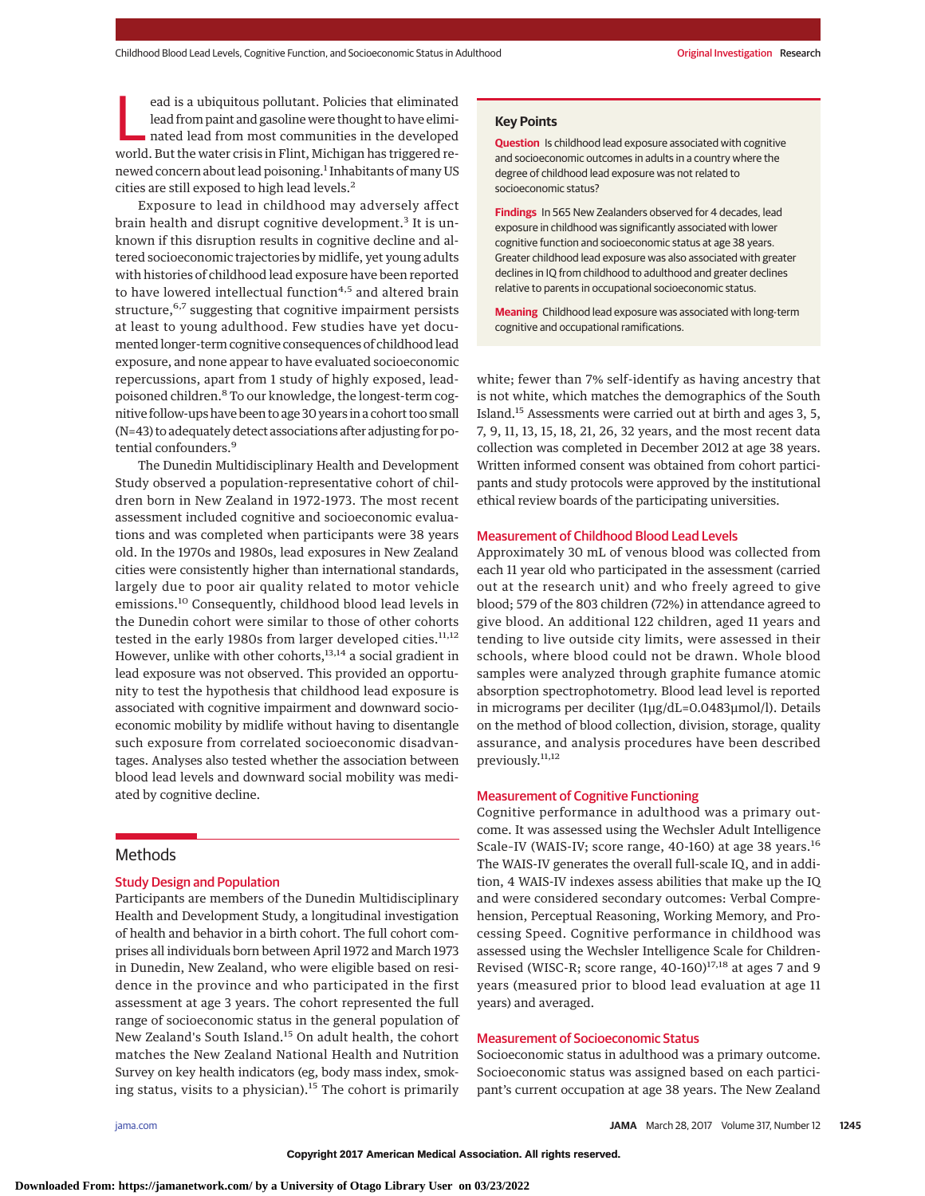ead is a ubiquitous pollutant. Policies that eliminated<br>lead from paint and gasoline were thought to have eliminated lead from most communities in the developed<br>world. But the water crisis in Elimi. Michigan has triggered lead from paint and gasoline were thought to have elimiworld. But the water crisis in Flint, Michigan has triggered renewed concern about lead poisoning.<sup>1</sup> Inhabitants of many US cities are still exposed to high lead levels.<sup>2</sup>

Exposure to lead in childhood may adversely affect brain health and disrupt cognitive development.<sup>3</sup> It is unknown if this disruption results in cognitive decline and altered socioeconomic trajectories by midlife, yet young adults with histories of childhood lead exposure have been reported to have lowered intellectual function<sup>4,5</sup> and altered brain structure,<sup>6,7</sup> suggesting that cognitive impairment persists at least to young adulthood. Few studies have yet documented longer-term cognitive consequences of childhood lead exposure, and none appear to have evaluated socioeconomic repercussions, apart from 1 study of highly exposed, leadpoisoned children.<sup>8</sup> To our knowledge, the longest-term cognitive follow-ups have been to age 30 years in a cohort too small (N=43) to adequately detect associations after adjusting for potential confounders.<sup>9</sup>

The Dunedin Multidisciplinary Health and Development Study observed a population-representative cohort of children born in New Zealand in 1972-1973. The most recent assessment included cognitive and socioeconomic evaluations and was completed when participants were 38 years old. In the 1970s and 1980s, lead exposures in New Zealand cities were consistently higher than international standards, largely due to poor air quality related to motor vehicle emissions.<sup>10</sup> Consequently, childhood blood lead levels in the Dunedin cohort were similar to those of other cohorts tested in the early 1980s from larger developed cities.<sup>11,12</sup> However, unlike with other cohorts,<sup>13,14</sup> a social gradient in lead exposure was not observed. This provided an opportunity to test the hypothesis that childhood lead exposure is associated with cognitive impairment and downward socioeconomic mobility by midlife without having to disentangle such exposure from correlated socioeconomic disadvantages. Analyses also tested whether the association between blood lead levels and downward social mobility was mediated by cognitive decline.

# Methods

## Study Design and Population

Participants are members of the Dunedin Multidisciplinary Health and Development Study, a longitudinal investigation of health and behavior in a birth cohort. The full cohort comprises all individuals born between April 1972 and March 1973 in Dunedin, New Zealand, who were eligible based on residence in the province and who participated in the first assessment at age 3 years. The cohort represented the full range of socioeconomic status in the general population of New Zealand's South Island.<sup>15</sup> On adult health, the cohort matches the New Zealand National Health and Nutrition Survey on key health indicators (eg, body mass index, smoking status, visits to a physician).<sup>15</sup> The cohort is primarily

#### **Key Points**

**Question** Is childhood lead exposure associated with cognitive and socioeconomic outcomes in adults in a country where the degree of childhood lead exposure was not related to socioeconomic status?

**Findings** In 565 New Zealanders observed for 4 decades, lead exposure in childhood was significantly associated with lower cognitive function and socioeconomic status at age 38 years. Greater childhood lead exposure was also associated with greater declines in IQ from childhood to adulthood and greater declines relative to parents in occupational socioeconomic status.

**Meaning** Childhood lead exposure was associated with long-term cognitive and occupational ramifications.

white; fewer than 7% self-identify as having ancestry that is not white, which matches the demographics of the South Island.15 Assessments were carried out at birth and ages 3, 5, 7, 9, 11, 13, 15, 18, 21, 26, 32 years, and the most recent data collection was completed in December 2012 at age 38 years. Written informed consent was obtained from cohort participants and study protocols were approved by the institutional ethical review boards of the participating universities.

#### Measurement of Childhood Blood Lead Levels

Approximately 30 mL of venous blood was collected from each 11 year old who participated in the assessment (carried out at the research unit) and who freely agreed to give blood; 579 of the 803 children (72%) in attendance agreed to give blood. An additional 122 children, aged 11 years and tending to live outside city limits, were assessed in their schools, where blood could not be drawn. Whole blood samples were analyzed through graphite fumance atomic absorption spectrophotometry. Blood lead level is reported in micrograms per deciliter (1μg/dL=0.0483μmol/l). Details on the method of blood collection, division, storage, quality assurance, and analysis procedures have been described previously.11,12

#### Measurement of Cognitive Functioning

Cognitive performance in adulthood was a primary outcome. It was assessed using the Wechsler Adult Intelligence Scale-IV (WAIS-IV; score range, 40-160) at age 38 years.<sup>16</sup> The WAIS-IV generates the overall full-scale IQ, and in addition, 4 WAIS-IV indexes assess abilities that make up the IQ and were considered secondary outcomes: Verbal Comprehension, Perceptual Reasoning, Working Memory, and Processing Speed. Cognitive performance in childhood was assessed using the Wechsler Intelligence Scale for Children-Revised (WISC-R; score range,  $40-160$ )<sup>17,18</sup> at ages 7 and 9 years (measured prior to blood lead evaluation at age 11 years) and averaged.

#### Measurement of Socioeconomic Status

Socioeconomic status in adulthood was a primary outcome. Socioeconomic status was assigned based on each participant's current occupation at age 38 years. The New Zealand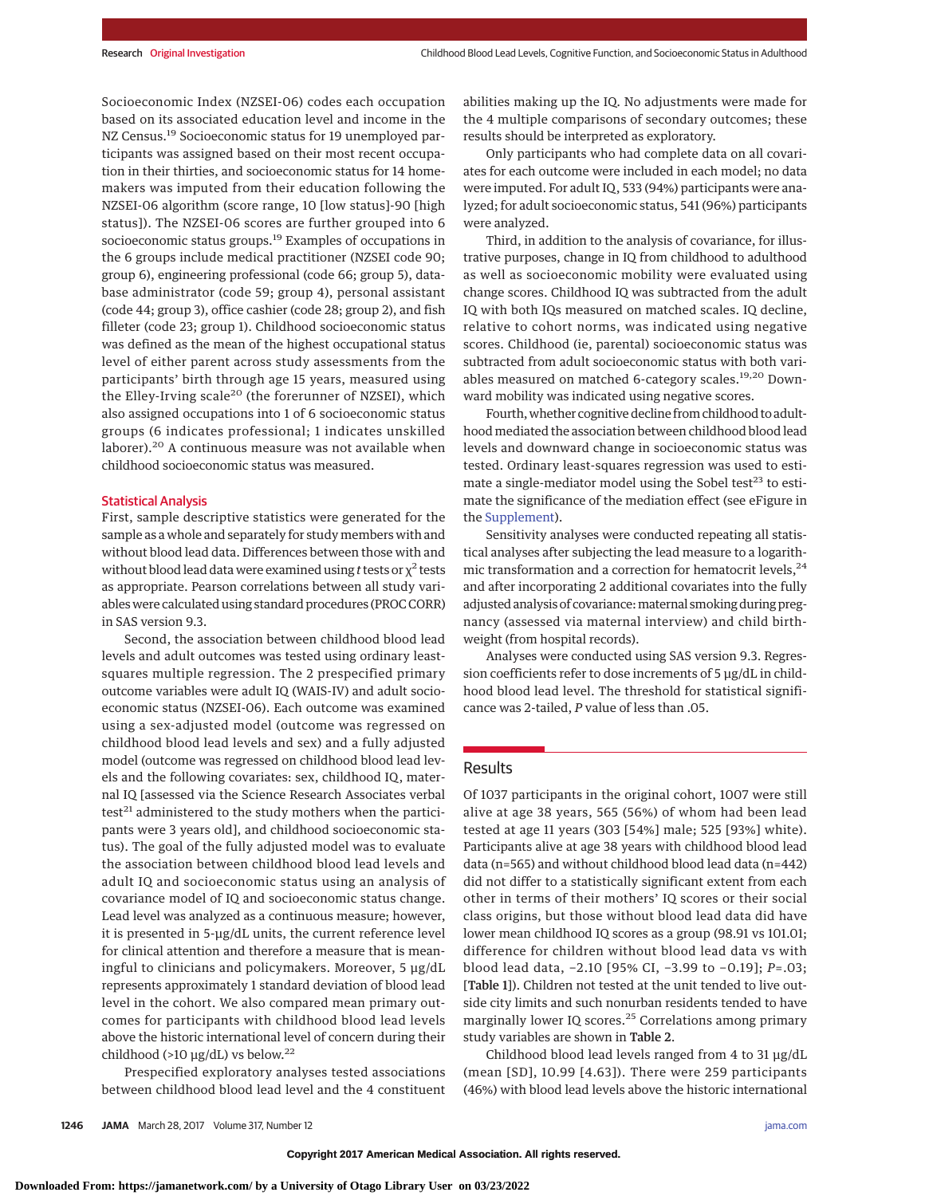Socioeconomic Index (NZSEI-06) codes each occupation based on its associated education level and income in the NZ Census.<sup>19</sup> Socioeconomic status for 19 unemployed participants was assigned based on their most recent occupation in their thirties, and socioeconomic status for 14 homemakers was imputed from their education following the NZSEI-06 algorithm (score range, 10 [low status]-90 [high status]). The NZSEI-06 scores are further grouped into 6 socioeconomic status groups.<sup>19</sup> Examples of occupations in the 6 groups include medical practitioner (NZSEI code 90; group 6), engineering professional (code 66; group 5), database administrator (code 59; group 4), personal assistant (code 44; group 3), office cashier (code 28; group 2), and fish filleter (code 23; group 1). Childhood socioeconomic status was defined as the mean of the highest occupational status level of either parent across study assessments from the participants' birth through age 15 years, measured using the Elley-Irving scale<sup>20</sup> (the forerunner of NZSEI), which also assigned occupations into 1 of 6 socioeconomic status groups (6 indicates professional; 1 indicates unskilled laborer).<sup>20</sup> A continuous measure was not available when childhood socioeconomic status was measured.

#### Statistical Analysis

First, sample descriptive statistics were generated for the sample as a whole and separately for study members with and without blood lead data. Differences between those with and without blood lead data were examined using *t* tests or  $\chi^2$  tests as appropriate. Pearson correlations between all study variables were calculated using standard procedures (PROC CORR) in SAS version 9.3.

Second, the association between childhood blood lead levels and adult outcomes was tested using ordinary leastsquares multiple regression. The 2 prespecified primary outcome variables were adult IQ (WAIS-IV) and adult socioeconomic status (NZSEI-06). Each outcome was examined using a sex-adjusted model (outcome was regressed on childhood blood lead levels and sex) and a fully adjusted model (outcome was regressed on childhood blood lead levels and the following covariates: sex, childhood IQ, maternal IQ [assessed via the Science Research Associates verbal  $test<sup>21</sup>$  administered to the study mothers when the participants were 3 years old], and childhood socioeconomic status). The goal of the fully adjusted model was to evaluate the association between childhood blood lead levels and adult IQ and socioeconomic status using an analysis of covariance model of IQ and socioeconomic status change. Lead level was analyzed as a continuous measure; however, it is presented in 5-μg/dL units, the current reference level for clinical attention and therefore a measure that is meaningful to clinicians and policymakers. Moreover, 5 μg/dL represents approximately 1 standard deviation of blood lead level in the cohort. We also compared mean primary outcomes for participants with childhood blood lead levels above the historic international level of concern during their childhood (>10  $\mu$ g/dL) vs below.<sup>22</sup>

Prespecified exploratory analyses tested associations between childhood blood lead level and the 4 constituent abilities making up the IQ. No adjustments were made for the 4 multiple comparisons of secondary outcomes; these results should be interpreted as exploratory.

Only participants who had complete data on all covariates for each outcome were included in each model; no data were imputed. For adult IQ, 533 (94%) participants were analyzed; for adult socioeconomic status, 541 (96%) participants were analyzed.

Third, in addition to the analysis of covariance, for illustrative purposes, change in IQ from childhood to adulthood as well as socioeconomic mobility were evaluated using change scores. Childhood IQ was subtracted from the adult IQ with both IQs measured on matched scales. IQ decline, relative to cohort norms, was indicated using negative scores. Childhood (ie, parental) socioeconomic status was subtracted from adult socioeconomic status with both variables measured on matched 6-category scales.<sup>19,20</sup> Downward mobility was indicated using negative scores.

Fourth, whether cognitive decline from childhood to adulthood mediated the association between childhood blood lead levels and downward change in socioeconomic status was tested. Ordinary least-squares regression was used to estimate a single-mediator model using the Sobel test $23$  to estimate the significance of the mediation effect (see eFigure in the [Supplement\)](http://jama.jamanetwork.com/article.aspx?doi=10.1001/jama.2017.1712&utm_campaign=articlePDF%26utm_medium=articlePDFlink%26utm_source=articlePDF%26utm_content=jama.2017.1712).

Sensitivity analyses were conducted repeating all statistical analyses after subjecting the lead measure to a logarithmic transformation and a correction for hematocrit levels,  $24$ and after incorporating 2 additional covariates into the fully adjusted analysis of covariance: maternal smoking during pregnancy (assessed via maternal interview) and child birthweight (from hospital records).

Analyses were conducted using SAS version 9.3. Regression coefficients refer to dose increments of 5 μg/dL in childhood blood lead level. The threshold for statistical significance was 2-tailed, *P* value of less than .05.

# Results

Of 1037 participants in the original cohort, 1007 were still alive at age 38 years, 565 (56%) of whom had been lead tested at age 11 years (303 [54%] male; 525 [93%] white). Participants alive at age 38 years with childhood blood lead data (n=565) and without childhood blood lead data (n=442) did not differ to a statistically significant extent from each other in terms of their mothers' IQ scores or their social class origins, but those without blood lead data did have lower mean childhood IQ scores as a group (98.91 vs 101.01; difference for children without blood lead data vs with blood lead data, −2.10 [95% CI, −3.99 to −0.19]; *P*=.03; [Table 1]). Children not tested at the unit tended to live outside city limits and such nonurban residents tended to have marginally lower IQ scores.<sup>25</sup> Correlations among primary study variables are shown in Table 2.

Childhood blood lead levels ranged from 4 to 31 μg/dL (mean [SD], 10.99 [4.63]). There were 259 participants (46%) with blood lead levels above the historic international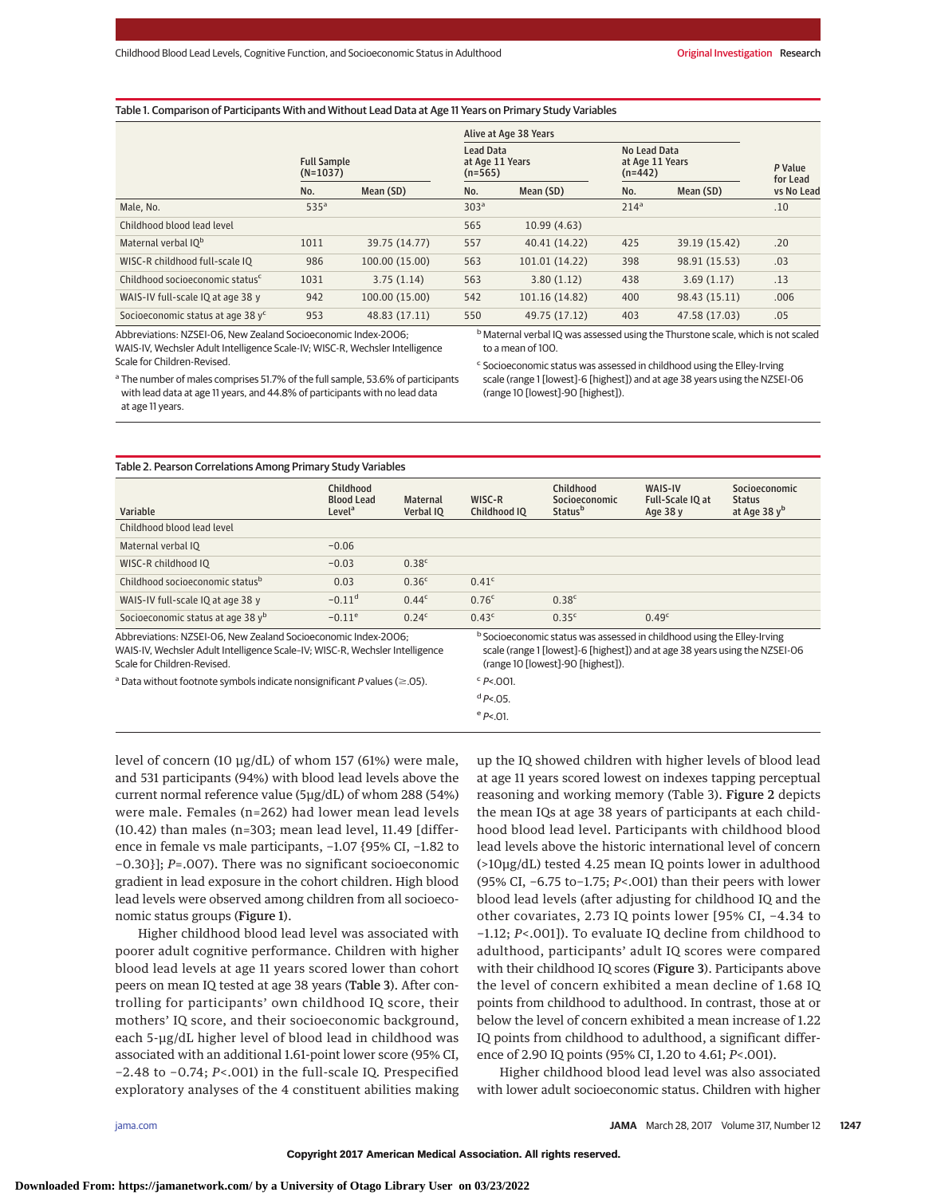#### Table 1. Comparison of Participants With and Without Lead Data at Age 11 Years on Primary Study Variables

|                                               |                                  |                |                                                  | Alive at Age 38 Years |                                              |               |                     |
|-----------------------------------------------|----------------------------------|----------------|--------------------------------------------------|-----------------------|----------------------------------------------|---------------|---------------------|
|                                               | <b>Full Sample</b><br>$(N=1037)$ |                | <b>Lead Data</b><br>at Age 11 Years<br>$(n=565)$ |                       | No Lead Data<br>at Age 11 Years<br>$(n=442)$ |               | P Value<br>for Lead |
|                                               | No.                              | Mean (SD)      | No.                                              | Mean (SD)             | No.                                          | Mean (SD)     | vs No Lead          |
| Male, No.                                     | 535 <sup>a</sup>                 |                | 303 <sup>a</sup>                                 |                       | 214 <sup>a</sup>                             |               | .10                 |
| Childhood blood lead level                    |                                  |                | 565                                              | 10.99(4.63)           |                                              |               |                     |
| Maternal verbal IO <sup>b</sup>               | 1011                             | 39.75 (14.77)  | 557                                              | 40.41 (14.22)         | 425                                          | 39.19 (15.42) | .20                 |
| WISC-R childhood full-scale IQ                | 986                              | 100.00 (15.00) | 563                                              | 101.01 (14.22)        | 398                                          | 98.91 (15.53) | .03                 |
| Childhood socioeconomic status <sup>c</sup>   | 1031                             | 3.75(1.14)     | 563                                              | 3.80(1.12)            | 438                                          | 3.69(1.17)    | .13                 |
| WAIS-IV full-scale IQ at age 38 y             | 942                              | 100.00 (15.00) | 542                                              | 101.16 (14.82)        | 400                                          | 98.43 (15.11) | .006                |
| Socioeconomic status at age 38 y <sup>c</sup> | 953                              | 48.83 (17.11)  | 550                                              | 49.75 (17.12)         | 403                                          | 47.58 (17.03) | .05                 |

Abbreviations: NZSEI-06, New Zealand Socioeconomic Index-2006; WAIS-IV, Wechsler Adult Intelligence Scale-IV; WISC-R, Wechsler Intelligence Scale for Children-Revised. <sup>a</sup> The number of males comprises 51.7% of the full sample, 53.6% of participants b Maternal verbal IQ was assessed using the Thurstone scale, which is not scaled to a mean of 100.

<sup>c</sup> Socioeconomic status was assessed in childhood using the Elley-Irving scale (range 1 [lowest]-6 [highest]) and at age 38 years using the NZSEI-06 (range 10 [lowest]-90 [highest]).

with lead data at age 11 years, and 44.8% of participants with no lead data at age 11 years.

| Variable                                                                                                                                       | Childhood<br><b>Blood Lead</b><br>Level <sup>a</sup> | <b>Maternal</b><br>Verbal IO | WISC-R<br>Childhood IO | Childhood<br>Socioeconomic<br><b>Status</b> <sup>b</sup>                                                                                                          | WAIS-IV<br>Full-Scale IQ at<br>Age 38 y | Socioeconomic<br><b>Status</b><br>at Age 38 $yb$ |
|------------------------------------------------------------------------------------------------------------------------------------------------|------------------------------------------------------|------------------------------|------------------------|-------------------------------------------------------------------------------------------------------------------------------------------------------------------|-----------------------------------------|--------------------------------------------------|
| Childhood blood lead level                                                                                                                     |                                                      |                              |                        |                                                                                                                                                                   |                                         |                                                  |
| Maternal verbal IO                                                                                                                             | $-0.06$                                              |                              |                        |                                                                                                                                                                   |                                         |                                                  |
| WISC-R childhood IQ                                                                                                                            | $-0.03$                                              | 0.38c                        |                        |                                                                                                                                                                   |                                         |                                                  |
| Childhood socioeconomic status <sup>b</sup>                                                                                                    | 0.03                                                 | 0.36 <sup>c</sup>            | 0.41c                  |                                                                                                                                                                   |                                         |                                                  |
| WAIS-IV full-scale IQ at age 38 y                                                                                                              | $-0.11$ <sup>d</sup>                                 | 0.44c                        | 0.76 <sup>c</sup>      | 0.38 <sup>c</sup>                                                                                                                                                 |                                         |                                                  |
| Socioeconomic status at age 38 yb                                                                                                              | $-0.11^e$                                            | 0.24 <sup>c</sup>            | 0.43c                  | 0.35c                                                                                                                                                             | 0.49 <sup>c</sup>                       |                                                  |
| Abbreviations: NZSEI-06. New Zealand Socioeconomic Index-2006:<br>WAIS-IV, Wechsler Adult Intelligence Scale-IV; WISC-R, Wechsler Intelligence |                                                      |                              |                        | <sup>b</sup> Socioeconomic status was assessed in childhood using the Elley-Irving<br>scale (range 1 [lowest]-6 [highest]) and at age 38 years using the NZSEI-06 |                                         |                                                  |

Scale for Children-Revised.

<sup>a</sup> Data without footnote symbols indicate nonsignificant P values ( $\geq$ .05).

scale (range 1 [lowest]-6 [highest]) and at age 38 years using the NZSEI-06 (range 10 [lowest]-90 [highest]).

 $c$  P<.001.  $dP < .05$ .

 $e^{e}$  P<.01.

level of concern (10 μg/dL) of whom 157 (61%) were male, and 531 participants (94%) with blood lead levels above the current normal reference value (5μg/dL) of whom 288 (54%) were male. Females (n=262) had lower mean lead levels (10.42) than males (n=303; mean lead level, 11.49 [difference in female vs male participants, −1.07 {95% CI, −1.82 to −0.30}]; *P*=.007). There was no significant socioeconomic gradient in lead exposure in the cohort children. High blood lead levels were observed among children from all socioeconomic status groups (Figure 1).

Higher childhood blood lead level was associated with poorer adult cognitive performance. Children with higher blood lead levels at age 11 years scored lower than cohort peers on mean IQ tested at age 38 years (Table 3). After controlling for participants' own childhood IQ score, their mothers' IQ score, and their socioeconomic background, each 5-μg/dL higher level of blood lead in childhood was associated with an additional 1.61-point lower score (95% CI, −2.48 to −0.74; *P*<.001) in the full-scale IQ. Prespecified exploratory analyses of the 4 constituent abilities making up the IQ showed children with higher levels of blood lead at age 11 years scored lowest on indexes tapping perceptual reasoning and working memory (Table 3). Figure 2 depicts the mean IQs at age 38 years of participants at each childhood blood lead level. Participants with childhood blood lead levels above the historic international level of concern (>10μg/dL) tested 4.25 mean IQ points lower in adulthood (95% CI, −6.75 to−1.75; *P*<.001) than their peers with lower blood lead levels (after adjusting for childhood IQ and the other covariates, 2.73 IQ points lower [95% CI, −4.34 to −1.12; *P*<.001]). To evaluate IQ decline from childhood to adulthood, participants' adult IQ scores were compared with their childhood IQ scores (Figure 3). Participants above the level of concern exhibited a mean decline of 1.68 IQ points from childhood to adulthood. In contrast, those at or below the level of concern exhibited a mean increase of 1.22 IQ points from childhood to adulthood, a significant difference of 2.90 IQ points (95% CI, 1.20 to 4.61; *P*<.001).

Higher childhood blood lead level was also associated with lower adult socioeconomic status. Children with higher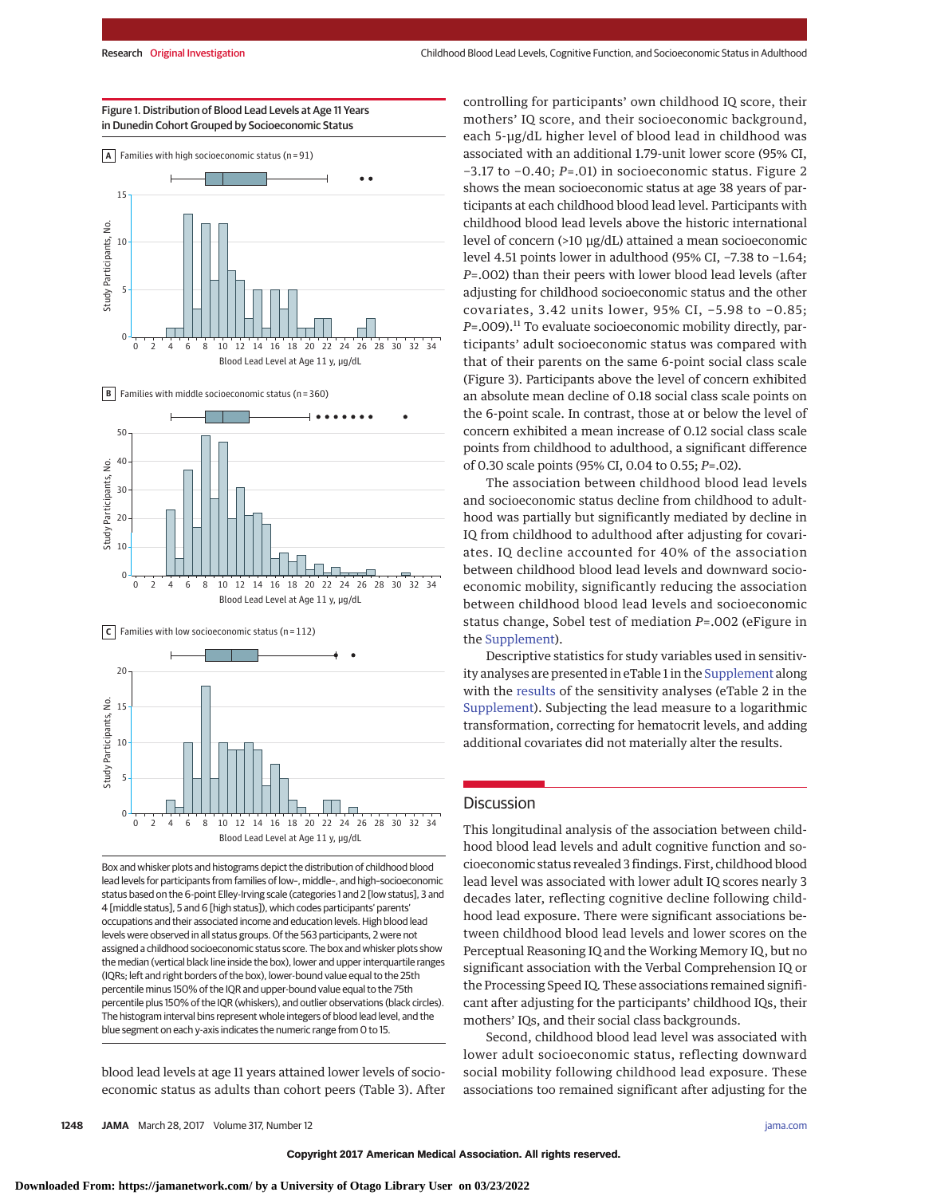

Blood Lead Level at Age 11 y, μg/dL

Figure 1. Distribution of Blood Lead Levels at Age 11 Years









Box and whisker plots and histograms depict the distribution of childhood blood lead levels for participants from families of low–, middle–, and high–socioeconomic status based on the 6-point Elley-Irving scale (categories 1 and 2 [low status], 3 and 4 [middle status], 5 and 6 [high status]), which codes participants' parents' occupations and their associated income and education levels. High blood lead levels were observed in all status groups. Of the 563 participants, 2 were not assigned a childhood socioeconomic status score. The box and whisker plots show the median (vertical black line inside the box), lower and upper interquartile ranges (IQRs; left and right borders of the box), lower-bound value equal to the 25th percentile minus 150% of the IQR and upper-bound value equal to the 75th percentile plus 150% of the IQR (whiskers), and outlier observations (black circles). The histogram interval bins represent whole integers of blood lead level, and the blue segment on each y-axis indicates the numeric range from 0 to 15.

blood lead levels at age 11 years attained lower levels of socioeconomic status as adults than cohort peers (Table 3). After controlling for participants' own childhood IQ score, their mothers' IQ score, and their socioeconomic background, each 5-μg/dL higher level of blood lead in childhood was associated with an additional 1.79-unit lower score (95% CI, −3.17 to −0.40; *P*=.01) in socioeconomic status. Figure 2 shows the mean socioeconomic status at age 38 years of participants at each childhood blood lead level. Participants with childhood blood lead levels above the historic international level of concern (>10 μg/dL) attained a mean socioeconomic level 4.51 points lower in adulthood (95% CI, −7.38 to −1.64; *P*=.002) than their peers with lower blood lead levels (after adjusting for childhood socioeconomic status and the other covariates, 3.42 units lower, 95% CI, −5.98 to −0.85; *P*=.009).<sup>11</sup> To evaluate socioeconomic mobility directly, participants' adult socioeconomic status was compared with that of their parents on the same 6-point social class scale (Figure 3). Participants above the level of concern exhibited an absolute mean decline of 0.18 social class scale points on the 6-point scale. In contrast, those at or below the level of concern exhibited a mean increase of 0.12 social class scale points from childhood to adulthood, a significant difference of 0.30 scale points (95% CI, 0.04 to 0.55; *P*=.02).

The association between childhood blood lead levels and socioeconomic status decline from childhood to adulthood was partially but significantly mediated by decline in IQ from childhood to adulthood after adjusting for covariates. IQ decline accounted for 40% of the association between childhood blood lead levels and downward socioeconomic mobility, significantly reducing the association between childhood blood lead levels and socioeconomic status change, Sobel test of mediation *P*=.002 (eFigure in the [Supplement\)](http://jama.jamanetwork.com/article.aspx?doi=10.1001/jama.2017.1712&utm_campaign=articlePDF%26utm_medium=articlePDFlink%26utm_source=articlePDF%26utm_content=jama.2017.1712).

Descriptive statistics for study variables used in sensitivity analyses are presented in eTable 1 in the [Supplement](http://jama.jamanetwork.com/article.aspx?doi=10.1001/jama.2017.1712&utm_campaign=articlePDF%26utm_medium=articlePDFlink%26utm_source=articlePDF%26utm_content=jama.2017.1712) along with the [results](http://jama.jamanetwork.com/article.aspx?doi=10.1001/jama.2017.1712&utm_campaign=articlePDF%26utm_medium=articlePDFlink%26utm_source=articlePDF%26utm_content=jama.2017.1712) of the sensitivity analyses (eTable 2 in the [Supplement\)](http://jama.jamanetwork.com/article.aspx?doi=10.1001/jama.2017.1712&utm_campaign=articlePDF%26utm_medium=articlePDFlink%26utm_source=articlePDF%26utm_content=jama.2017.1712). Subjecting the lead measure to a logarithmic transformation, correcting for hematocrit levels, and adding additional covariates did not materially alter the results.

## **Discussion**

This longitudinal analysis of the association between childhood blood lead levels and adult cognitive function and socioeconomic status revealed 3 findings. First, childhood blood lead level was associated with lower adult IQ scores nearly 3 decades later, reflecting cognitive decline following childhood lead exposure. There were significant associations between childhood blood lead levels and lower scores on the Perceptual Reasoning IQ and the Working Memory IQ, but no significant association with the Verbal Comprehension IQ or the Processing Speed IQ. These associations remained significant after adjusting for the participants' childhood IQs, their mothers' IQs, and their social class backgrounds.

Second, childhood blood lead level was associated with lower adult socioeconomic status, reflecting downward social mobility following childhood lead exposure. These associations too remained significant after adjusting for the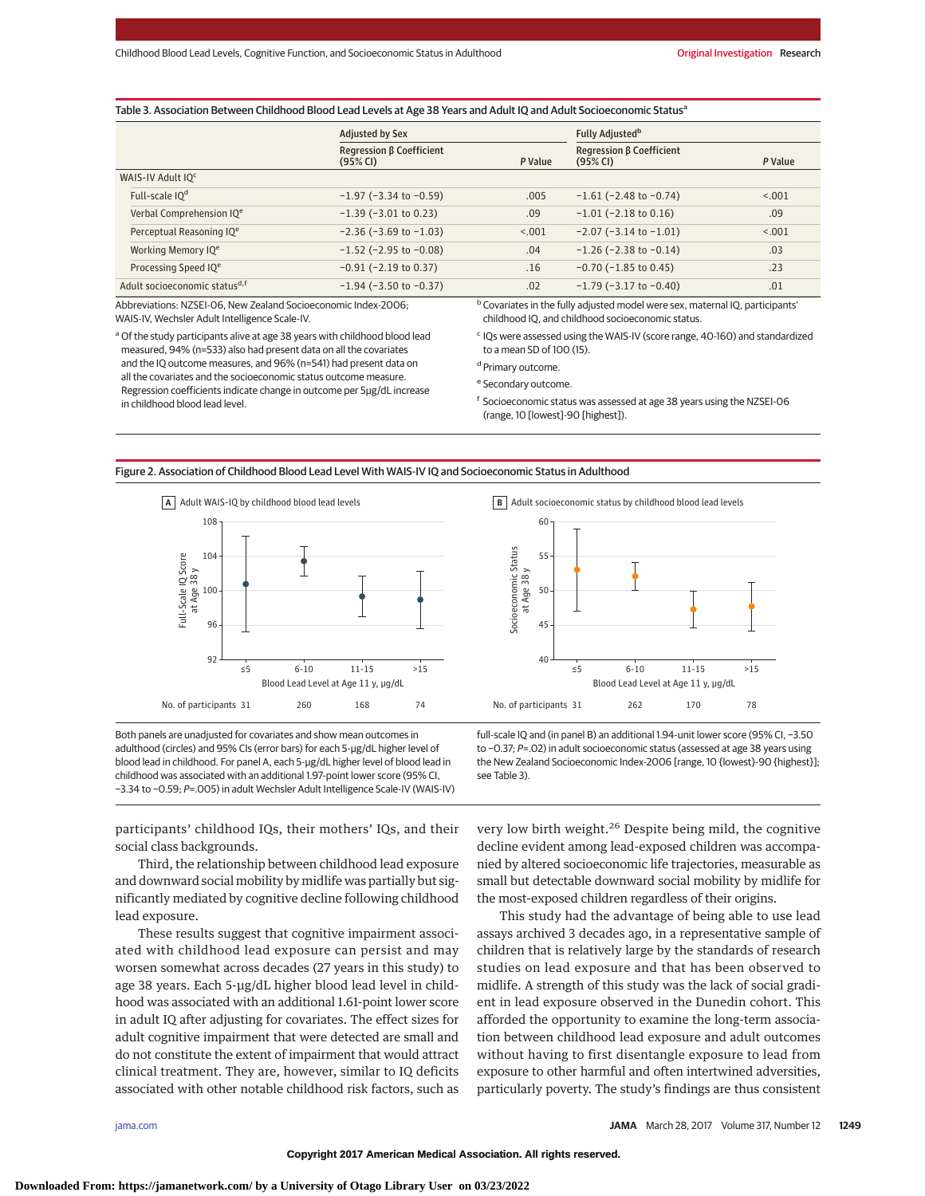|                                           | <b>Adjusted by Sex</b>               |         | Fully Adjusted <sup>b</sup>          |         |  |
|-------------------------------------------|--------------------------------------|---------|--------------------------------------|---------|--|
|                                           | Regression B Coefficient<br>(95% CI) | P Value | Regression B Coefficient<br>(95% CI) | P Value |  |
| WAIS-IV Adult IQ <sup>c</sup>             |                                      |         |                                      |         |  |
| Full-scale IQ <sup>d</sup>                | $-1.97$ ( $-3.34$ to $-0.59$ )       | .005    | $-1.61$ ( $-2.48$ to $-0.74$ )       | < .001  |  |
| Verbal Comprehension IQ <sup>e</sup>      | $-1.39$ ( $-3.01$ to 0.23)           | .09     | $-1.01$ ( $-2.18$ to 0.16)           | .09     |  |
| Perceptual Reasoning IQ <sup>e</sup>      | $-2.36$ ( $-3.69$ to $-1.03$ )       | < 0.001 | $-2.07$ ( $-3.14$ to $-1.01$ )       | < .001  |  |
| Working Memory IQ <sup>e</sup>            | $-1.52$ ( $-2.95$ to $-0.08$ )       | .04     | $-1.26$ ( $-2.38$ to $-0.14$ )       | .03     |  |
| Processing Speed IQ <sup>e</sup>          | $-0.91$ ( $-2.19$ to 0.37)           | .16     | $-0.70$ ( $-1.85$ to 0.45)           | .23     |  |
| Adult socioeconomic status <sup>d,f</sup> | $-1.94$ ( $-3.50$ to $-0.37$ )       | .02     | $-1.79$ ( $-3.17$ to $-0.40$ )       | .01     |  |

Table 3. Association Between Childhood Blood Lead Levels at Age 38 Years and Adult IQ and Adult Socioeconomic Status<sup>a</sup>

Abbreviations: NZSEI-06, New Zealand Socioeconomic Index-2006; WAIS-IV, Wechsler Adult Intelligence Scale-IV.

<sup>a</sup> Of the study participants alive at age 38 years with childhood blood lead measured, 94% (n=533) also had present data on all the covariates and the IQ outcome measures, and 96% (n=541) had present data on all the covariates and the socioeconomic status outcome measure. Regression coefficients indicate change in outcome per 5μg/dL increase in childhood blood lead level.

b Covariates in the fully adjusted model were sex, maternal IQ, participants' childhood IQ, and childhood socioeconomic status.

<sup>c</sup> IQs were assessed using the WAIS-IV (score range, 40-160) and standardized to a mean SD of 100 (15).

<sup>d</sup> Primary outcome.

<sup>e</sup> Secondary outcome.

<sup>f</sup> Socioeconomic status was assessed at age 38 years using the NZSEI-06 (range, 10 [lowest]-90 [highest]).

Figure 2. Association of Childhood Blood Lead Level With WAIS-IV IQ and Socioeconomic Status in Adulthood



Both panels are unadjusted for covariates and show mean outcomes in adulthood (circles) and 95% CIs (error bars) for each 5-μg/dL higher level of blood lead in childhood. For panel A, each 5-μg/dL higher level of blood lead in childhood was associated with an additional 1.97-point lower score (95% CI, −3.34 to −0.59; P=.005) in adult Wechsler Adult Intelligence Scale-IV (WAIS-IV) **B** Adult socioeconomic status by childhood blood lead levels



full-scale IQ and (in panel B) an additional 1.94-unit lower score (95% CI, −3.50 to −0.37; P=.02) in adult socioeconomic status (assessed at age 38 years using the New Zealand Socioeconomic Index-2006 [range, 10 {lowest}-90 {highest}]; see Table 3).

participants' childhood IQs, their mothers' IQs, and their social class backgrounds.

Third, the relationship between childhood lead exposure and downward social mobility by midlife was partially but significantly mediated by cognitive decline following childhood lead exposure.

These results suggest that cognitive impairment associated with childhood lead exposure can persist and may worsen somewhat across decades (27 years in this study) to age 38 years. Each 5-μg/dL higher blood lead level in childhood was associated with an additional 1.61-point lower score in adult IQ after adjusting for covariates. The effect sizes for adult cognitive impairment that were detected are small and do not constitute the extent of impairment that would attract clinical treatment. They are, however, similar to IQ deficits associated with other notable childhood risk factors, such as

very low birth weight.<sup>26</sup> Despite being mild, the cognitive decline evident among lead-exposed children was accompanied by altered socioeconomic life trajectories, measurable as small but detectable downward social mobility by midlife for the most-exposed children regardless of their origins.

This study had the advantage of being able to use lead assays archived 3 decades ago, in a representative sample of children that is relatively large by the standards of research studies on lead exposure and that has been observed to midlife. A strength of this study was the lack of social gradient in lead exposure observed in the Dunedin cohort. This afforded the opportunity to examine the long-term association between childhood lead exposure and adult outcomes without having to first disentangle exposure to lead from exposure to other harmful and often intertwined adversities, particularly poverty. The study's findings are thus consistent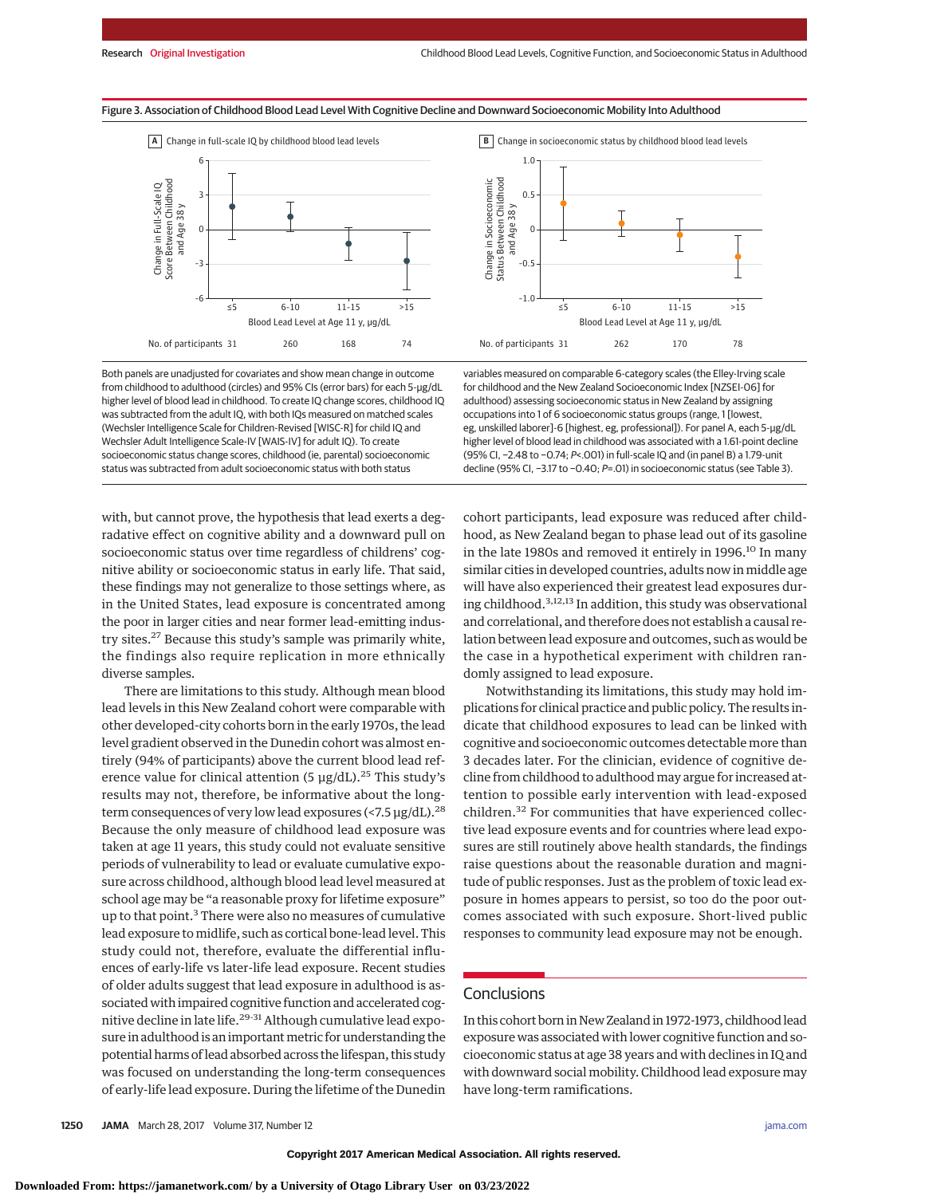**B** Change in socioeconomic status by childhood blood lead levels

1.0

0.5

 $\mathfrak{c}$ 

Change in Socioeconomic Status Between Childhood and Age 38 y

Change in Socioeconomic<br>Status Between Childhood<br>and Age 38 y

–0.5





Both panels are unadjusted for covariates and show mean change in outcome from childhood to adulthood (circles) and 95% CIs (error bars) for each 5-μg/dL higher level of blood lead in childhood. To create IQ change scores, childhood IQ was subtracted from the adult IQ, with both IQs measured on matched scales (Wechsler Intelligence Scale for Children-Revised [WISC-R] for child IQ and Wechsler Adult Intelligence Scale-IV [WAIS-IV] for adult IQ). To create socioeconomic status change scores, childhood (ie, parental) socioeconomic status was subtracted from adult socioeconomic status with both status

 $-1.0$ Blood Lead Level at Age 11 y, μg/dL No. of participants 31 ≤5 6-10 262 11-15 170  $>15$ 78 variables measured on comparable 6-category scales (the Elley-Irving scale for childhood and the New Zealand Socioeconomic Index [NZSEI-06] for adulthood) assessing socioeconomic status in New Zealand by assigning occupations into 1 of 6 socioeconomic status groups (range, 1 [lowest, eg, unskilled laborer]-6 [highest, eg, professional]). For panel A, each 5-μg/dL

higher level of blood lead in childhood was associated with a 1.61-point decline (95% CI, −2.48 to −0.74; P<.001) in full-scale IQ and (in panel B) a 1.79-unit decline (95% CI, −3.17 to −0.40; P=.01) in socioeconomic status (see Table 3).

with, but cannot prove, the hypothesis that lead exerts a degradative effect on cognitive ability and a downward pull on socioeconomic status over time regardless of childrens' cognitive ability or socioeconomic status in early life. That said, these findings may not generalize to those settings where, as in the United States, lead exposure is concentrated among the poor in larger cities and near former lead-emitting industry sites.<sup>27</sup> Because this study's sample was primarily white, the findings also require replication in more ethnically diverse samples.

There are limitations to this study. Although mean blood lead levels in this New Zealand cohort were comparable with other developed-city cohorts born in the early 1970s, the lead level gradient observed in the Dunedin cohort was almost entirely (94% of participants) above the current blood lead reference value for clinical attention (5  $\mu$ g/dL).<sup>25</sup> This study's results may not, therefore, be informative about the longterm consequences of very low lead exposures (<7.5  $\mu$ g/dL).<sup>28</sup> Because the only measure of childhood lead exposure was taken at age 11 years, this study could not evaluate sensitive periods of vulnerability to lead or evaluate cumulative exposure across childhood, although blood lead level measured at school age may be "a reasonable proxy for lifetime exposure" up to that point.<sup>3</sup> There were also no measures of cumulative lead exposure to midlife, such as cortical bone-lead level. This study could not, therefore, evaluate the differential influences of early-life vs later-life lead exposure. Recent studies of older adults suggest that lead exposure in adulthood is associated with impaired cognitive function and accelerated cognitive decline in late life.<sup>29-31</sup> Although cumulative lead exposure in adulthood is an important metric for understanding the potential harms of lead absorbed across the lifespan, this study was focused on understanding the long-term consequences of early-life lead exposure. During the lifetime of the Dunedin cohort participants, lead exposure was reduced after childhood, as New Zealand began to phase lead out of its gasoline in the late 1980s and removed it entirely in 1996.<sup>10</sup> In many similar cities in developed countries, adults now in middle age will have also experienced their greatest lead exposures during childhood.3,12,13 In addition, this study was observational and correlational, and therefore does not establish a causal relation between lead exposure and outcomes, such as would be the case in a hypothetical experiment with children randomly assigned to lead exposure.

Notwithstanding its limitations, this study may hold implications for clinical practice and public policy. The results indicate that childhood exposures to lead can be linked with cognitive and socioeconomic outcomes detectable more than 3 decades later. For the clinician, evidence of cognitive decline from childhood to adulthood may argue for increased attention to possible early intervention with lead-exposed children.<sup>32</sup> For communities that have experienced collective lead exposure events and for countries where lead exposures are still routinely above health standards, the findings raise questions about the reasonable duration and magnitude of public responses. Just as the problem of toxic lead exposure in homes appears to persist, so too do the poor outcomes associated with such exposure. Short-lived public responses to community lead exposure may not be enough.

## **Conclusions**

In this cohort born in New Zealand in 1972-1973, childhood lead exposure was associated with lower cognitive function and socioeconomic status at age 38 years and with declines in IQ and with downward social mobility. Childhood lead exposure may have long-term ramifications.